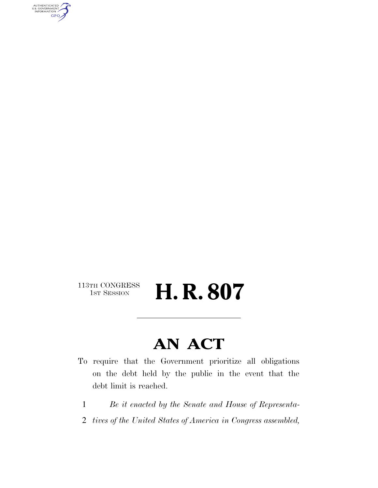AUTHENTICATED<br>U.S. GOVERNMENT<br>INFORMATION GPO

### 113TH CONGRESS<br>1st Session

# H. R. 807

### **AN ACT**

- To require that the Government prioritize all obligations on the debt held by the public in the event that the debt limit is reached.
	- 1 *Be it enacted by the Senate and House of Representa-*
	- 2 *tives of the United States of America in Congress assembled,*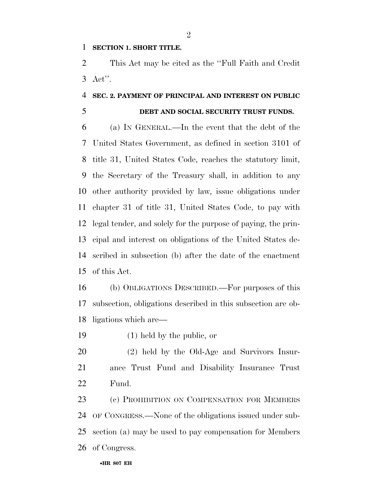#### **SECTION 1. SHORT TITLE.**

 This Act may be cited as the ''Full Faith and Credit Act''.

#### **SEC. 2. PAYMENT OF PRINCIPAL AND INTEREST ON PUBLIC**

#### **DEBT AND SOCIAL SECURITY TRUST FUNDS.**

 (a) IN GENERAL.—In the event that the debt of the United States Government, as defined in section 3101 of title 31, United States Code, reaches the statutory limit, the Secretary of the Treasury shall, in addition to any other authority provided by law, issue obligations under chapter 31 of title 31, United States Code, to pay with legal tender, and solely for the purpose of paying, the prin- cipal and interest on obligations of the United States de- scribed in subsection (b) after the date of the enactment of this Act.

 (b) OBLIGATIONS DESCRIBED.—For purposes of this subsection, obligations described in this subsection are ob-ligations which are—

(1) held by the public, or

 (2) held by the Old-Age and Survivors Insur- ance Trust Fund and Disability Insurance Trust Fund.

23 (c) PROHIBITION ON COMPENSATION FOR MEMBERS OF CONGRESS.—None of the obligations issued under sub- section (a) may be used to pay compensation for Members of Congress.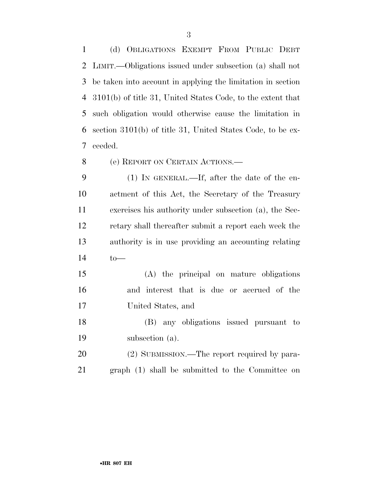(d) OBLIGATIONS EXEMPT FROM PUBLIC DEBT LIMIT.—Obligations issued under subsection (a) shall not be taken into account in applying the limitation in section 3101(b) of title 31, United States Code, to the extent that such obligation would otherwise cause the limitation in section 3101(b) of title 31, United States Code, to be ex-ceeded.

(e) REPORT ON CERTAIN ACTIONS.—

 (1) IN GENERAL.—If, after the date of the en- actment of this Act, the Secretary of the Treasury exercises his authority under subsection (a), the Sec- retary shall thereafter submit a report each week the authority is in use providing an accounting relating to—

 (A) the principal on mature obligations and interest that is due or accrued of the United States, and

 (B) any obligations issued pursuant to subsection (a).

20 (2) SUBMISSION.—The report required by para-graph (1) shall be submitted to the Committee on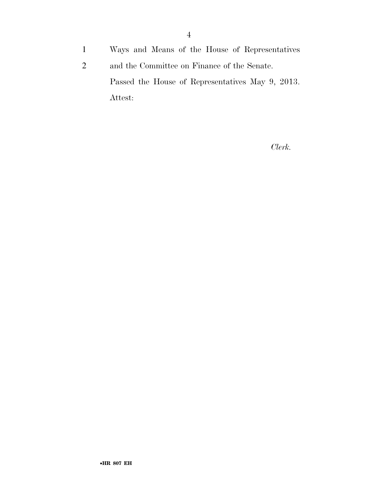1 Ways and Means of the House of Representatives

2 and the Committee on Finance of the Senate. Passed the House of Representatives May 9, 2013. Attest:

*Clerk.*